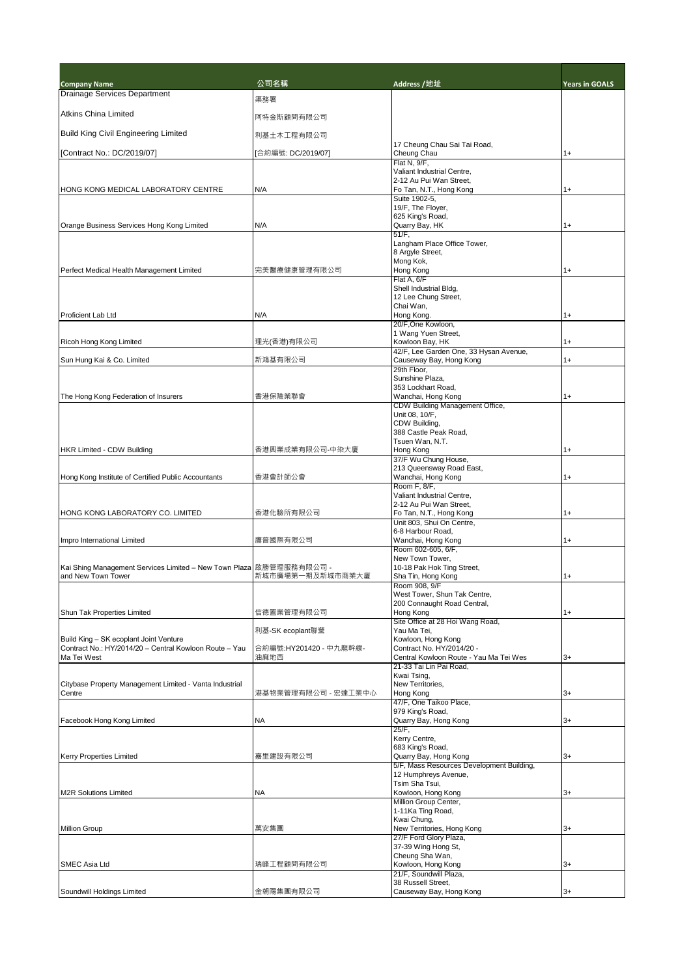| <b>Company Name</b>                                                                              | 公司名稱                   | Address /地址                                               | <b>Years in GOALS</b> |
|--------------------------------------------------------------------------------------------------|------------------------|-----------------------------------------------------------|-----------------------|
| <b>Drainage Services Department</b>                                                              | 渠務署                    |                                                           |                       |
| <b>Atkins China Limited</b>                                                                      |                        |                                                           |                       |
|                                                                                                  | 阿特金斯顧問有限公司             |                                                           |                       |
| <b>Build King Civil Engineering Limited</b>                                                      | 利基土木工程有限公司             |                                                           |                       |
| [Contract No.: DC/2019/07]                                                                       | [合約編號: DC/2019/07]     | 17 Cheung Chau Sai Tai Road,<br>Cheung Chau               | $1+$                  |
|                                                                                                  |                        | Flat N, 9/F,                                              |                       |
|                                                                                                  |                        | Valiant Industrial Centre,                                |                       |
| HONG KONG MEDICAL LABORATORY CENTRE                                                              | N/A                    | 2-12 Au Pui Wan Street,<br>Fo Tan, N.T., Hong Kong        | $1+$                  |
|                                                                                                  |                        | Suite 1902-5,                                             |                       |
|                                                                                                  |                        | 19/F, The Floyer,                                         |                       |
| Orange Business Services Hong Kong Limited                                                       | N/A                    | 625 King's Road,<br>Quarry Bay, HK                        | 1+                    |
|                                                                                                  |                        | $51/F$ ,                                                  |                       |
|                                                                                                  |                        | Langham Place Office Tower,<br>8 Argyle Street,           |                       |
|                                                                                                  |                        | Mong Kok,                                                 |                       |
| Perfect Medical Health Management Limited                                                        | 完美醫療健康管理有限公司           | Hong Kong                                                 | 1+                    |
|                                                                                                  |                        | Flat A, 6/F<br>Shell Industrial Bldg,                     |                       |
|                                                                                                  |                        | 12 Lee Chung Street,                                      |                       |
|                                                                                                  |                        | Chai Wan,                                                 |                       |
| Proficient Lab Ltd                                                                               | N/A                    | Hong Kong.<br>20/F, One Kowloon,                          | 1+                    |
|                                                                                                  |                        | 1 Wang Yuen Street,                                       |                       |
| Ricoh Hong Kong Limited                                                                          | 理光(香港)有限公司             | Kowloon Bay, HK<br>42/F, Lee Garden One, 33 Hysan Avenue, | 1+                    |
| Sun Hung Kai & Co. Limited                                                                       | 新鴻基有限公司                | Causeway Bay, Hong Kong                                   | $1+$                  |
|                                                                                                  |                        | 29th Floor.                                               |                       |
|                                                                                                  |                        | Sunshine Plaza,<br>353 Lockhart Road.                     |                       |
| The Hong Kong Federation of Insurers                                                             | 香港保險業聯會                | Wanchai, Hong Kong                                        | 1+                    |
|                                                                                                  |                        | CDW Building Management Office,                           |                       |
|                                                                                                  |                        | Unit 08, 10/F,                                            |                       |
|                                                                                                  |                        | CDW Building,<br>388 Castle Peak Road,                    |                       |
|                                                                                                  |                        | Tsuen Wan, N.T.                                           |                       |
| <b>HKR Limited - CDW Building</b>                                                                | 香港興業成業有限公司-中染大廈        | Hong Kong                                                 | $1+$                  |
|                                                                                                  |                        | 37/F Wu Chung House,<br>213 Queensway Road East,          |                       |
| Hong Kong Institute of Certified Public Accountants                                              | 香港會計師公會                | Wanchai, Hong Kong                                        | $1+$                  |
|                                                                                                  |                        | Room F, 8/F,                                              |                       |
|                                                                                                  |                        | Valiant Industrial Centre,<br>2-12 Au Pui Wan Street,     |                       |
| HONG KONG LABORATORY CO. LIMITED                                                                 | 香港化驗所有限公司              | Fo Tan, N.T., Hong Kong                                   | $1+$                  |
|                                                                                                  |                        | Unit 803, Shui On Centre,                                 |                       |
| Impro International Limited                                                                      | 鷹普國際有限公司               | 6-8 Harbour Road,<br>Wanchai, Hong Kong                   | $1+$                  |
|                                                                                                  |                        | Room 602-605, 6/F,                                        |                       |
|                                                                                                  |                        | New Town Tower,                                           |                       |
| Kai Shing Management Services Limited - New Town Plaza 啟勝管理服務有限公司 -<br>and New Town Tower        | 新城市廣場第一期及新城市商業大廈       | 10-18 Pak Hok Ting Street,<br>Sha Tin, Hong Kong          | 1+                    |
|                                                                                                  |                        | Room 908, 9/F                                             |                       |
|                                                                                                  |                        | West Tower, Shun Tak Centre,                              |                       |
| Shun Tak Properties Limited                                                                      | 信德置業管理有限公司             | 200 Connaught Road Central,<br>Hong Kong                  | 1+                    |
|                                                                                                  |                        | Site Office at 28 Hoi Wang Road,                          |                       |
|                                                                                                  | 利基-SK ecoplant聯營       | Yau Ma Tei,                                               |                       |
| Build King - SK ecoplant Joint Venture<br>Contract No.: HY/2014/20 - Central Kowloon Route - Yau | 合約編號:HY201420 - 中九龍幹線- | Kowloon, Hong Kong<br>Contract No. HY/2014/20 -           |                       |
| Ma Tei West                                                                                      | 油麻地西                   | Central Kowloon Route - Yau Ma Tei Wes                    | 3+                    |
|                                                                                                  |                        | 21-33 Tai Lin Pai Road.                                   |                       |
| Citybase Property Management Limited - Vanta Industrial                                          |                        | Kwai Tsing,<br>New Territories,                           |                       |
| Centre                                                                                           | 港基物業管理有限公司 - 宏達工業中心    | Hong Kong                                                 | $3+$                  |
|                                                                                                  |                        | 47/F, One Taikoo Place,                                   |                       |
| Facebook Hong Kong Limited                                                                       | NA                     | 979 King's Road,<br>Quarry Bay, Hong Kong                 | 3+                    |
|                                                                                                  |                        | 25/F,                                                     |                       |
|                                                                                                  |                        | Kerry Centre,                                             |                       |
| <b>Kerry Properties Limited</b>                                                                  | 嘉里建設有限公司               | 683 King's Road,<br>Quarry Bay, Hong Kong                 | $3+$                  |
|                                                                                                  |                        | 5/F, Mass Resources Development Building,                 |                       |
|                                                                                                  |                        | 12 Humphreys Avenue,                                      |                       |
| <b>M2R Solutions Limited</b>                                                                     | ΝA                     | Tsim Sha Tsui,<br>Kowloon, Hong Kong                      | 3+                    |
|                                                                                                  |                        | Million Group Center,                                     |                       |
|                                                                                                  |                        | 1-11Ka Ting Road,                                         |                       |
| <b>Million Group</b>                                                                             | 萬安集團                   | Kwai Chung,<br>New Territories, Hong Kong                 | 3+                    |
|                                                                                                  |                        | 27/F Ford Glory Plaza,                                    |                       |
|                                                                                                  |                        | 37-39 Wing Hong St,                                       |                       |
|                                                                                                  | 瑞峰工程顧問有限公司             | Cheung Sha Wan,<br>Kowloon, Hong Kong                     |                       |
| <b>SMEC Asia Ltd</b>                                                                             |                        | 21/F, Soundwill Plaza,                                    | 3+                    |
|                                                                                                  |                        | 38 Russell Street,                                        |                       |
| Soundwill Holdings Limited                                                                       | 金朝陽集團有限公司              | Causeway Bay, Hong Kong                                   | 3+                    |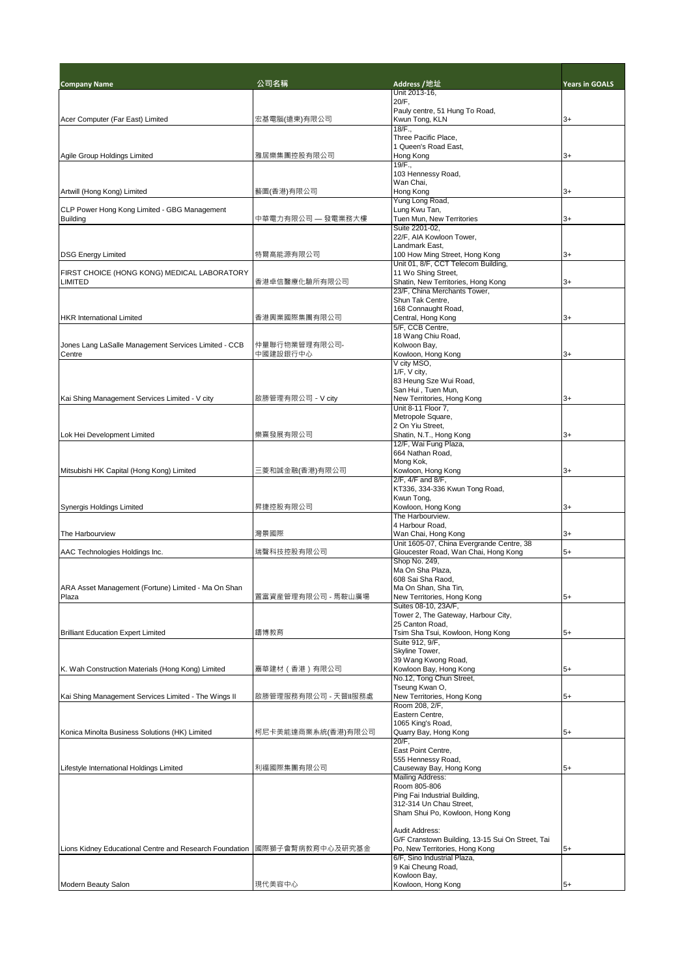| <b>Company Name</b>                                             | 公司名稱                | Address /地址                                                      | <b>Years in GOALS</b> |
|-----------------------------------------------------------------|---------------------|------------------------------------------------------------------|-----------------------|
|                                                                 |                     | Unit 2013-16,<br>20/F,                                           |                       |
|                                                                 |                     | Pauly centre, 51 Hung To Road,                                   |                       |
| Acer Computer (Far East) Limited                                | 宏基電腦(遠東)有限公司        | Kwun Tong, KLN                                                   | 3+                    |
|                                                                 |                     | 18/F.,<br>Three Pacific Place,                                   |                       |
|                                                                 |                     | 1 Queen's Road East,                                             |                       |
| Agile Group Holdings Limited                                    | 雅居樂集團控股有限公司         | Hong Kong                                                        | $3+$                  |
|                                                                 |                     | 19/F.,                                                           |                       |
|                                                                 |                     | 103 Hennessy Road,<br>Wan Chai,                                  |                       |
| Artwill (Hong Kong) Limited                                     | 藝圖(香港)有限公司          | Hong Kong                                                        | 3+                    |
|                                                                 |                     | Yung Long Road,                                                  |                       |
| CLP Power Hong Kong Limited - GBG Management<br><b>Building</b> | 中華電力有限公司 — 發電業務大樓   | Lung Kwu Tan,<br>Tuen Mun. New Territories                       | $3+$                  |
|                                                                 |                     | Suite 2201-02.                                                   |                       |
|                                                                 |                     | 22/F, AIA Kowloon Tower,                                         |                       |
|                                                                 | 特爾高能源有限公司           | Landmark East,<br>100 How Ming Street, Hong Kong                 | $3+$                  |
| <b>DSG Energy Limited</b>                                       |                     | Unit 01, 8/F, CCT Telecom Building,                              |                       |
| FIRST CHOICE (HONG KONG) MEDICAL LABORATORY                     |                     | 11 Wo Shing Street,                                              |                       |
| <b>LIMITED</b>                                                  | 香港卓信醫療化驗所有限公司       | Shatin, New Territories, Hong Kong                               | $3+$                  |
|                                                                 |                     | 23/F, China Merchants Tower,<br>Shun Tak Centre,                 |                       |
|                                                                 |                     | 168 Connaught Road,                                              |                       |
| <b>HKR</b> International Limited                                | 香港興業國際集團有限公司        | Central, Hong Kong                                               | 3+                    |
|                                                                 |                     | 5/F, CCB Centre,                                                 |                       |
| Jones Lang LaSalle Management Services Limited - CCB            | 仲量聯行物業管理有限公司-       | 18 Wang Chiu Road,<br>Kolwoon Bay,                               |                       |
| Centre                                                          | 中國建設銀行中心            | Kowloon, Hong Kong                                               | 3+                    |
|                                                                 |                     | V city MSO,                                                      |                       |
|                                                                 |                     | 1/F, V city,<br>83 Heung Sze Wui Road,                           |                       |
|                                                                 |                     | San Hui, Tuen Mun,                                               |                       |
| Kai Shing Management Services Limited - V city                  | 啟勝管理有限公司 - V city   | New Territories, Hong Kong                                       | 3+                    |
|                                                                 |                     | Unit 8-11 Floor 7,                                               |                       |
|                                                                 |                     | Metropole Square,<br>2 On Yiu Street,                            |                       |
| Lok Hei Development Limited                                     | 樂熹發展有限公司            | Shatin, N.T., Hong Kong                                          | 3+                    |
|                                                                 |                     | 12/F, Wai Fung Plaza,                                            |                       |
|                                                                 |                     | 664 Nathan Road,<br>Mong Kok,                                    |                       |
| Mitsubishi HK Capital (Hong Kong) Limited                       | 三菱和誠金融(香港)有限公司      | Kowloon, Hong Kong                                               | $3+$                  |
|                                                                 |                     | 2/F, 4/F and 8/F,                                                |                       |
|                                                                 |                     | KT336, 334-336 Kwun Tong Road,<br>Kwun Tong,                     |                       |
| Synergis Holdings Limited                                       | 昇捷控股有限公司            | Kowloon, Hong Kong                                               | 3+                    |
|                                                                 |                     | The Harbourview.                                                 |                       |
|                                                                 |                     | 4 Harbour Road,                                                  |                       |
| The Harbourview                                                 | 灣景國際                | Wan Chai, Hong Kong<br>Unit 1605-07, China Evergrande Centre, 38 | 3+                    |
| AAC Technologies Holdings Inc.                                  | 瑞聲科技控股有限公司          | Gloucester Road, Wan Chai, Hong Kong                             | $5+$                  |
|                                                                 |                     | Shop No. 249,                                                    |                       |
|                                                                 |                     | Ma On Sha Plaza.<br>608 Sai Sha Raod,                            |                       |
| ARA Asset Management (Fortune) Limited - Ma On Shan             |                     | Ma On Shan, Sha Tin,                                             |                       |
| Plaza                                                           | 置富資産管理有限公司 - 馬鞍山廣場  | New Territories, Hong Kong                                       | $5+$                  |
|                                                                 |                     | Suites 08-10, 23A/F.                                             |                       |
|                                                                 |                     | Tower 2, The Gateway, Harbour City,<br>25 Canton Road,           |                       |
| <b>Brilliant Education Expert Limited</b>                       | 鑄博教育                | Tsim Sha Tsui, Kowloon, Hong Kong                                | 5+                    |
|                                                                 |                     | Suite 912, 9/F,                                                  |                       |
|                                                                 |                     | Skyline Tower.<br>39 Wang Kwong Road,                            |                       |
| K. Wah Construction Materials (Hong Kong) Limited               | 嘉華建材(香港)有限公司        | Kowloon Bay, Hong Kong                                           | 5+                    |
|                                                                 |                     | No.12, Tong Chun Street,                                         |                       |
| Kai Shing Management Services Limited - The Wings II            |                     | Tseung Kwan O,<br>New Territories, Hong Kong                     |                       |
|                                                                 | 啟勝管理服務有限公司 - 天晉Ⅱ服務處 | Room 208, 2/F,                                                   | 5+                    |
|                                                                 |                     | Eastern Centre,                                                  |                       |
|                                                                 |                     | 1065 King's Road,                                                |                       |
| Konica Minolta Business Solutions (HK) Limited                  | 柯尼卡美能達商業系統(香港)有限公司  | Quarry Bay, Hong Kong<br>20/F.                                   | 5+                    |
|                                                                 |                     | East Point Centre,                                               |                       |
|                                                                 |                     | 555 Hennessy Road,                                               |                       |
| Lifestyle International Holdings Limited                        | 利福國際集團有限公司          | Causeway Bay, Hong Kong<br><b>Mailing Address:</b>               | $5+$                  |
|                                                                 |                     | Room 805-806                                                     |                       |
|                                                                 |                     | Ping Fai Industrial Building,                                    |                       |
|                                                                 |                     | 312-314 Un Chau Street,                                          |                       |
|                                                                 |                     | Sham Shui Po, Kowloon, Hong Kong                                 |                       |
|                                                                 |                     | Audit Address:                                                   |                       |
|                                                                 |                     | G/F Cranstown Building, 13-15 Sui On Street, Tai                 |                       |
| Lions Kidney Educational Centre and Research Foundation         | 國際獅子會腎病教育中心及研究基金    | Po, New Territories, Hong Kong<br>6/F, Sino Industrial Plaza,    | $5+$                  |
|                                                                 |                     | 9 Kai Cheung Road,                                               |                       |
|                                                                 |                     | Kowloon Bay,                                                     |                       |
| Modern Beauty Salon                                             | 現代美容中心              | Kowloon, Hong Kong                                               | $5+$                  |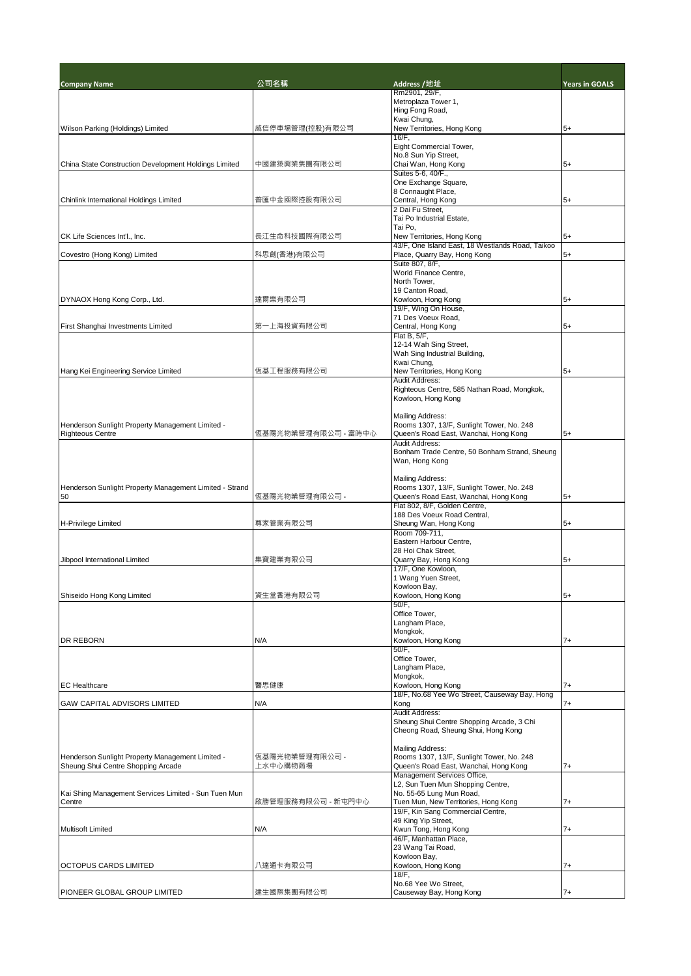| <b>Company Name</b>                                     | 公司名稱                | Address /地址                                                            | <b>Years in GOALS</b> |
|---------------------------------------------------------|---------------------|------------------------------------------------------------------------|-----------------------|
|                                                         |                     | Rm2901, 29/F,<br>Metroplaza Tower 1,                                   |                       |
|                                                         |                     | Hing Fong Road,                                                        |                       |
| Wilson Parking (Holdings) Limited                       | 威信停車場管理(控股)有限公司     | Kwai Chung,<br>New Territories, Hong Kong                              | $5+$                  |
|                                                         |                     | $16/F$ ,                                                               |                       |
|                                                         |                     | Eight Commercial Tower,                                                |                       |
| China State Construction Development Holdings Limited   | 中國建築興業集團有限公司        | No.8 Sun Yip Street,<br>Chai Wan, Hong Kong                            | $5+$                  |
|                                                         |                     | Suites 5-6, 40/F.,                                                     |                       |
|                                                         |                     | One Exchange Square,                                                   |                       |
| Chinlink International Holdings Limited                 | 普匯中金國際控股有限公司        | 8 Connaught Place,<br>Central, Hong Kong                               | $5+$                  |
|                                                         |                     | 2 Dai Fu Street,                                                       |                       |
|                                                         |                     | Tai Po Industrial Estate,<br>Tai Po,                                   |                       |
| CK Life Sciences Int'l., Inc.                           | 長江生命科技國際有限公司        | New Territories, Hong Kong                                             | $5+$                  |
|                                                         |                     | 43/F, One Island East, 18 Westlands Road, Taikoo                       |                       |
| Covestro (Hong Kong) Limited                            | 科思創(香港)有限公司         | Place, Quarry Bay, Hong Kong<br>Suite 807, 8/F,                        | $5+$                  |
|                                                         |                     | World Finance Centre,                                                  |                       |
|                                                         |                     | North Tower,                                                           |                       |
| DYNAOX Hong Kong Corp., Ltd.                            | 達爾樂有限公司             | 19 Canton Road,<br>Kowloon, Hong Kong                                  | $5+$                  |
|                                                         |                     | 19/F, Wing On House,                                                   |                       |
|                                                         |                     | 71 Des Voeux Road,                                                     |                       |
| First Shanghai Investments Limited                      | 第一上海投資有限公司          | Central, Hong Kong<br>Flat B, 5/F,                                     | $5+$                  |
|                                                         |                     | 12-14 Wah Sing Street,                                                 |                       |
|                                                         |                     | Wah Sing Industrial Building,                                          |                       |
| Hang Kei Engineering Service Limited                    | 恆基工程服務有限公司          | Kwai Chung,<br>New Territories, Hong Kong                              | $5+$                  |
|                                                         |                     | Audit Address:                                                         |                       |
|                                                         |                     | Righteous Centre, 585 Nathan Road, Mongkok,                            |                       |
|                                                         |                     | Kowloon, Hong Kong                                                     |                       |
|                                                         |                     | Mailing Address:                                                       |                       |
| Henderson Sunlight Property Management Limited -        |                     | Rooms 1307, 13/F, Sunlight Tower, No. 248                              |                       |
| <b>Righteous Centre</b>                                 | 恆基陽光物業管理有限公司 - 富時中心 | Queen's Road East, Wanchai, Hong Kong<br><b>Audit Address:</b>         | $5+$                  |
|                                                         |                     | Bonham Trade Centre, 50 Bonham Strand, Sheung                          |                       |
|                                                         |                     | Wan, Hong Kong                                                         |                       |
|                                                         |                     | Mailing Address:                                                       |                       |
| Henderson Sunlight Property Management Limited - Strand |                     | Rooms 1307, 13/F, Sunlight Tower, No. 248                              |                       |
| 50                                                      | 恆基陽光物業管理有限公司 -      | Queen's Road East, Wanchai, Hong Kong<br>Flat 802, 8/F, Golden Centre, | $5+$                  |
|                                                         |                     | 188 Des Voeux Road Central,                                            |                       |
| <b>H-Privilege Limited</b>                              | 尊家管業有限公司            | Sheung Wan, Hong Kong                                                  | $5+$                  |
|                                                         |                     | Room 709-711,<br>Eastern Harbour Centre,                               |                       |
|                                                         |                     | 28 Hoi Chak Street.                                                    |                       |
| Jibpool International Limited                           | 集寶建業有限公司            | Quarry Bay, Hong Kong                                                  | $5+$                  |
|                                                         |                     | 17/F. One Kowloon.<br>1 Wang Yuen Street,                              |                       |
|                                                         |                     | Kowloon Bay,                                                           |                       |
| Shiseido Hong Kong Limited                              | 資生堂香港有限公司           | Kowloon, Hong Kong                                                     | $5+$                  |
|                                                         |                     | 50/F,<br>Office Tower.                                                 |                       |
|                                                         |                     | Langham Place,                                                         |                       |
| <b>DR REBORN</b>                                        | N/A                 | Mongkok,                                                               |                       |
|                                                         |                     | Kowloon, Hong Kong<br>50/F,                                            | $7+$                  |
|                                                         |                     | Office Tower,                                                          |                       |
|                                                         |                     | Langham Place,<br>Mongkok,                                             |                       |
| <b>EC</b> Healthcare                                    | 醫思健康                | Kowloon, Hong Kong                                                     | $7+$                  |
|                                                         |                     | 18/F, No.68 Yee Wo Street, Causeway Bay, Hong                          |                       |
| <b>GAW CAPITAL ADVISORS LIMITED</b>                     | N/A                 | Kong<br><b>Audit Address:</b>                                          | 7+                    |
|                                                         |                     | Sheung Shui Centre Shopping Arcade, 3 Chi                              |                       |
|                                                         |                     | Cheong Road, Sheung Shui, Hong Kong                                    |                       |
|                                                         |                     | Mailing Address:                                                       |                       |
| Henderson Sunlight Property Management Limited -        | 恆基陽光物業管理有限公司 -      | Rooms 1307, 13/F, Sunlight Tower, No. 248                              |                       |
| Sheung Shui Centre Shopping Arcade                      | 上水中心購物商場            | Queen's Road East, Wanchai, Hong Kong                                  | 7+                    |
|                                                         |                     | Management Services Office,<br>L2, Sun Tuen Mun Shopping Centre,       |                       |
| Kai Shing Management Services Limited - Sun Tuen Mun    |                     | No. 55-65 Lung Mun Road,                                               |                       |
| Centre                                                  | 啟勝管理服務有限公司 - 新屯門中心  | Tuen Mun, New Territories, Hong Kong                                   | 7+                    |
|                                                         |                     | 19/F, Kin Sang Commercial Centre,<br>49 King Yip Street,               |                       |
| <b>Multisoft Limited</b>                                | N/A                 | Kwun Tong, Hong Kong                                                   | 7+                    |
|                                                         |                     | 46/F, Manhattan Place,                                                 |                       |
|                                                         |                     | 23 Wang Tai Road,<br>Kowloon Bay,                                      |                       |
| <b>OCTOPUS CARDS LIMITED</b>                            | 八達通卡有限公司            | Kowloon, Hong Kong                                                     | 7+                    |
|                                                         |                     | $18/F$ ,                                                               |                       |
| PIONEER GLOBAL GROUP LIMITED                            | 建生國際集團有限公司          | No.68 Yee Wo Street,<br>Causeway Bay, Hong Kong                        | 7+                    |
|                                                         |                     |                                                                        |                       |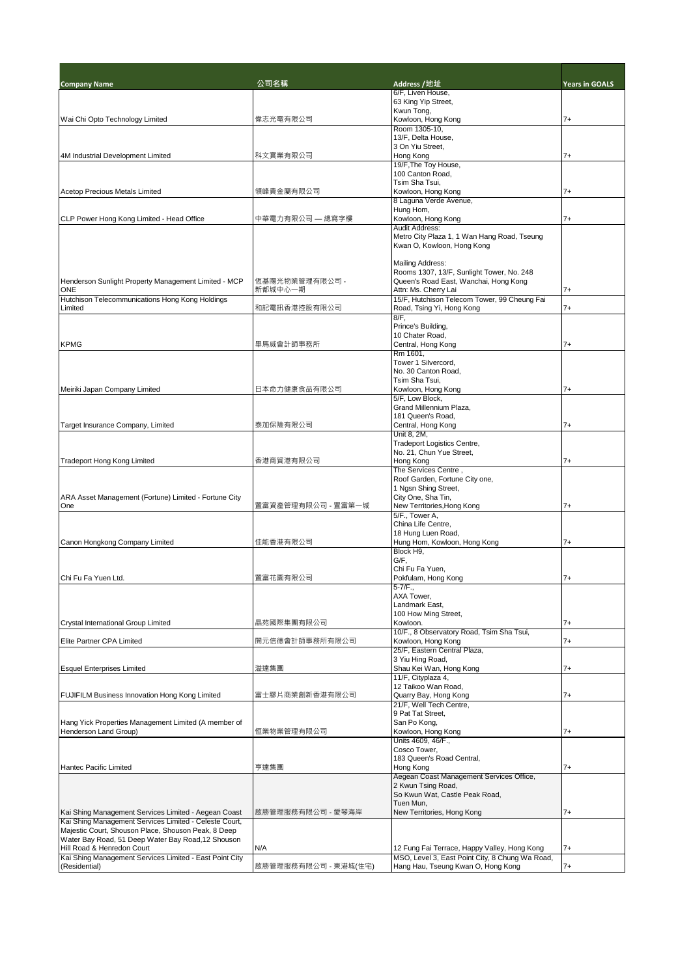| <b>Company Name</b>                                                                                            | 公司名稱                      | Address /地址                                                   | <b>Years in GOALS</b> |
|----------------------------------------------------------------------------------------------------------------|---------------------------|---------------------------------------------------------------|-----------------------|
|                                                                                                                |                           | 6/F, Liven House,                                             |                       |
|                                                                                                                |                           | 63 King Yip Street,<br>Kwun Tong,                             |                       |
| Wai Chi Opto Technology Limited                                                                                | 偉志光電有限公司                  | Kowloon, Hong Kong                                            | 7+                    |
|                                                                                                                |                           | Room 1305-10,                                                 |                       |
|                                                                                                                |                           | 13/F, Delta House,                                            |                       |
|                                                                                                                |                           | 3 On Yiu Street,                                              |                       |
| 4M Industrial Development Limited                                                                              | 科文實業有限公司                  | Hong Kong                                                     | $7+$                  |
|                                                                                                                |                           | 19/F, The Toy House,<br>100 Canton Road,                      |                       |
|                                                                                                                |                           | Tsim Sha Tsui.                                                |                       |
| <b>Acetop Precious Metals Limited</b>                                                                          | 領峰貴金屬有限公司                 | Kowloon, Hong Kong                                            | 7+                    |
|                                                                                                                |                           | 8 Laguna Verde Avenue,                                        |                       |
|                                                                                                                |                           | Hung Hom,                                                     |                       |
| CLP Power Hong Kong Limited - Head Office                                                                      | 中華電力有限公司 — 總寫字樓           | Kowloon, Hong Kong<br><b>Audit Address:</b>                   | $7+$                  |
|                                                                                                                |                           | Metro City Plaza 1, 1 Wan Hang Road, Tseung                   |                       |
|                                                                                                                |                           | Kwan O, Kowloon, Hong Kong                                    |                       |
|                                                                                                                |                           |                                                               |                       |
|                                                                                                                |                           | Mailing Address:                                              |                       |
|                                                                                                                |                           | Rooms 1307, 13/F, Sunlight Tower, No. 248                     |                       |
| Henderson Sunlight Property Management Limited - MCP<br><b>ONE</b>                                             | 恆基陽光物業管理有限公司 -<br>新都城中心一期 | Queen's Road East, Wanchai, Hong Kong<br>Attn: Ms. Cherry Lai | $7+$                  |
| Hutchison Telecommunications Hong Kong Holdings                                                                |                           | 15/F, Hutchison Telecom Tower, 99 Cheung Fai                  |                       |
| Limited                                                                                                        | 和記電訊香港控股有限公司              | Road, Tsing Yi, Hong Kong                                     | $7+$                  |
|                                                                                                                |                           | $8/F$ ,                                                       |                       |
|                                                                                                                |                           | Prince's Building,                                            |                       |
|                                                                                                                |                           | 10 Chater Road,                                               |                       |
| <b>KPMG</b>                                                                                                    | 畢馬威會計師事務所                 | Central, Hong Kong                                            | $7+$                  |
|                                                                                                                |                           | Rm 1601,<br>Tower 1 Silvercord.                               |                       |
|                                                                                                                |                           | No. 30 Canton Road,                                           |                       |
|                                                                                                                |                           | Tsim Sha Tsui,                                                |                       |
| Meiriki Japan Company Limited                                                                                  | 日本命力健康食品有限公司              | Kowloon, Hong Kong                                            | $7+$                  |
|                                                                                                                |                           | 5/F, Low Block,                                               |                       |
|                                                                                                                |                           | Grand Millennium Plaza,<br>181 Queen's Road,                  |                       |
| Target Insurance Company, Limited                                                                              | 泰加保險有限公司                  | Central, Hong Kong                                            | $7+$                  |
|                                                                                                                |                           | Unit 8, 2M,                                                   |                       |
|                                                                                                                |                           | Tradeport Logistics Centre,                                   |                       |
|                                                                                                                |                           | No. 21, Chun Yue Street,                                      |                       |
| <b>Tradeport Hong Kong Limited</b>                                                                             | 香港商貿港有限公司                 | Hong Kong                                                     | $7+$                  |
|                                                                                                                |                           | The Services Centre,<br>Roof Garden, Fortune City one,        |                       |
|                                                                                                                |                           | 1 Ngsn Shing Street,                                          |                       |
| ARA Asset Management (Fortune) Limited - Fortune City                                                          |                           | City One, Sha Tin,                                            |                       |
| One                                                                                                            | 置富資產管理有限公司 - 置富第一城        | New Territories, Hong Kong                                    | $7+$                  |
|                                                                                                                |                           | 5/F., Tower A,                                                |                       |
|                                                                                                                |                           | China Life Centre.<br>18 Hung Luen Road,                      |                       |
| Canon Hongkong Company Limited                                                                                 | 佳能香港有限公司                  | Hung Hom, Kowloon, Hong Kong                                  | $7+$                  |
|                                                                                                                |                           | Block H9,                                                     |                       |
|                                                                                                                |                           | G/F,                                                          |                       |
|                                                                                                                |                           | Chi Fu Fa Yuen,                                               |                       |
| Chi Fu Fa Yuen Ltd.                                                                                            | 置富花園有限公司                  | Pokfulam, Hong Kong                                           | $7+$                  |
|                                                                                                                |                           | 5-7/F.,<br>AXA Tower,                                         |                       |
|                                                                                                                |                           | Landmark East,                                                |                       |
|                                                                                                                |                           | 100 How Ming Street,                                          |                       |
| Crystal International Group Limited                                                                            | 晶苑國際集團有限公司                | Kowloon.                                                      | 7+                    |
|                                                                                                                |                           | 10/F., 8 Observatory Road, Tsim Sha Tsui,                     |                       |
| Elite Partner CPA Limited                                                                                      | 開元信德會計師事務所有限公司            | Kowloon, Hong Kong<br>25/F, Eastern Central Plaza,            | $7+$                  |
|                                                                                                                |                           | 3 Yiu Hing Road,                                              |                       |
| <b>Esquel Enterprises Limited</b>                                                                              | 溢達集團                      | Shau Kei Wan, Hong Kong                                       | 7+                    |
|                                                                                                                |                           | 11/F, Cityplaza 4,                                            |                       |
|                                                                                                                |                           | 12 Taikoo Wan Road,                                           |                       |
| FUJIFILM Business Innovation Hong Kong Limited                                                                 | 富士膠片商業創新香港有限公司            | Quarry Bay, Hong Kong                                         | 7+                    |
|                                                                                                                |                           | 21/F, Well Tech Centre,<br>9 Pat Tat Street,                  |                       |
| Hang Yick Properties Management Limited (A member of                                                           |                           | San Po Kong,                                                  |                       |
| Henderson Land Group)                                                                                          | 恒業物業管理有限公司                | Kowloon, Hong Kong                                            | $7+$                  |
|                                                                                                                |                           | Units 4609, 46/F.,                                            |                       |
|                                                                                                                |                           | Cosco Tower,                                                  |                       |
| <b>Hantec Pacific Limited</b>                                                                                  | 亨達集團                      | 183 Queen's Road Central,<br>Hong Kong                        | $7+$                  |
|                                                                                                                |                           | Aegean Coast Management Services Office,                      |                       |
|                                                                                                                |                           | 2 Kwun Tsing Road,                                            |                       |
|                                                                                                                |                           | So Kwun Wat, Castle Peak Road,                                |                       |
|                                                                                                                |                           | Tuen Mun,                                                     |                       |
| Kai Shing Management Services Limited - Aegean Coast<br>Kai Shing Management Services Limited - Celeste Court, | 啟勝管理服務有限公司 - 愛琴海岸         | New Territories, Hong Kong                                    | $7+$                  |
| Majestic Court, Shouson Place, Shouson Peak, 8 Deep                                                            |                           |                                                               |                       |
| Water Bay Road, 51 Deep Water Bay Road, 12 Shouson                                                             |                           |                                                               |                       |
| Hill Road & Henredon Court                                                                                     | N/A                       | 12 Fung Fai Terrace, Happy Valley, Hong Kong                  | $7+$                  |
| Kai Shing Management Services Limited - East Point City                                                        |                           | MSO, Level 3, East Point City, 8 Chung Wa Road,               |                       |
| (Residential)                                                                                                  | 啟勝管理服務有限公司 - 東港城(住宅)      | Hang Hau, Tseung Kwan O, Hong Kong                            | $7+$                  |